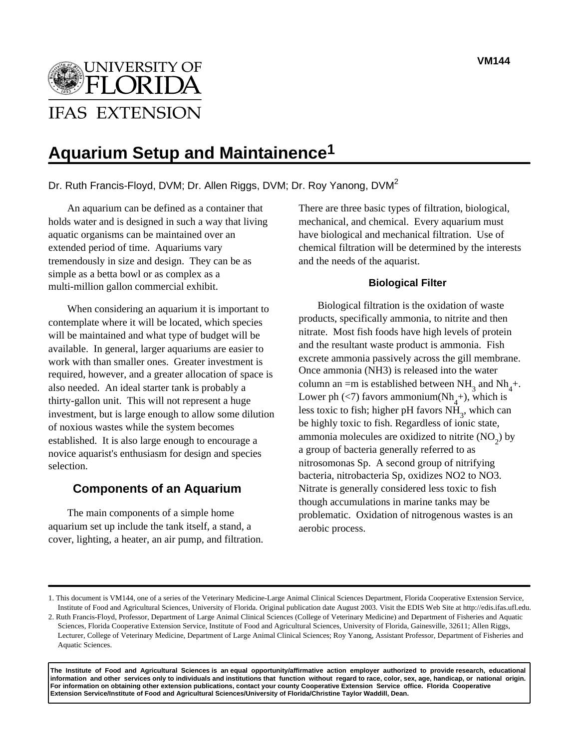

# **Aquarium Setup and Maintainence1**

# Dr. Ruth Francis-Floyd, DVM; Dr. Allen Riggs, DVM; Dr. Roy Yanong, DVM2

An aquarium can be defined as a container that holds water and is designed in such a way that living aquatic organisms can be maintained over an extended period of time. Aquariums vary tremendously in size and design. They can be as simple as a betta bowl or as complex as a multi-million gallon commercial exhibit.

When considering an aquarium it is important to contemplate where it will be located, which species will be maintained and what type of budget will be available. In general, larger aquariums are easier to work with than smaller ones. Greater investment is required, however, and a greater allocation of space is also needed. An ideal starter tank is probably a thirty-gallon unit. This will not represent a huge investment, but is large enough to allow some dilution of noxious wastes while the system becomes established. It is also large enough to encourage a novice aquarist's enthusiasm for design and species selection.

## **Components of an Aquarium**

The main components of a simple home aquarium set up include the tank itself, a stand, a cover, lighting, a heater, an air pump, and filtration. There are three basic types of filtration, biological, mechanical, and chemical. Every aquarium must have biological and mechanical filtration. Use of chemical filtration will be determined by the interests and the needs of the aquarist.

#### **Biological Filter**

Biological filtration is the oxidation of waste products, specifically ammonia, to nitrite and then nitrate. Most fish foods have high levels of protein and the resultant waste product is ammonia. Fish excrete ammonia passively across the gill membrane. Once ammonia (NH3) is released into the water column an =m is established between  $NH_3$  and  $Nh_4^+$ . Lower ph  $(<)$  favors ammonium(Nh<sub>4</sub>+), which is less toxic to fish; higher pH favors  $NH<sub>3</sub>$ , which can be highly toxic to fish. Regardless of ionic state, ammonia molecules are oxidized to nitrite  $(NO<sub>2</sub>)$  by a group of bacteria generally referred to as nitrosomonas Sp. A second group of nitrifying bacteria, nitrobacteria Sp, oxidizes NO2 to NO3. Nitrate is generally considered less toxic to fish though accumulations in marine tanks may be problematic. Oxidation of nitrogenous wastes is an aerobic process.

**The Institute of Food and Agricultural Sciences is an equal opportunity/affirmative action employer authorized to provide research, educational information and other services only to individuals and institutions that function without regard to race, color, sex, age, handicap, or national origin. For information on obtaining other extension publications, contact your county Cooperative Extension Service office. Florida Cooperative Extension Service/Institute of Food and Agricultural Sciences/University of Florida/Christine Taylor Waddill, Dean.**

<sup>1.</sup> This document is VM144, one of a series of the Veterinary Medicine-Large Animal Clinical Sciences Department, Florida Cooperative Extension Service, Institute of Food and Agricultural Sciences, University of Florida. Original publication date August 2003. Visit the EDIS Web Site at http://edis.ifas.ufl.edu. 2. Ruth Francis-Floyd, Professor, Department of Large Animal Clinical Sciences (College of Veterinary Medicine) and Department of Fisheries and Aquatic Sciences, Florida Cooperative Extension Service, Institute of Food and Agricultural Sciences, University of Florida, Gainesville, 32611; Allen Riggs, Lecturer, College of Veterinary Medicine, Department of Large Animal Clinical Sciences; Roy Yanong, Assistant Professor, Department of Fisheries and Aquatic Sciences.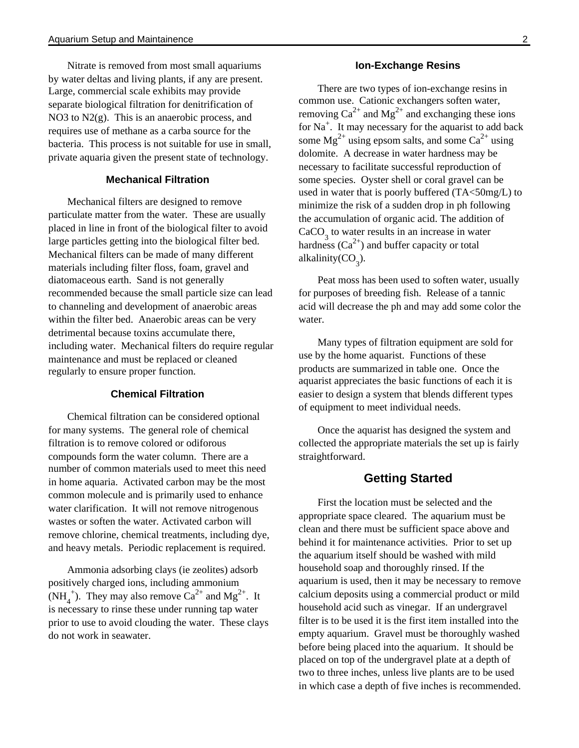Nitrate is removed from most small aquariums by water deltas and living plants, if any are present. Large, commercial scale exhibits may provide separate biological filtration for denitrification of NO3 to N2(g). This is an anaerobic process, and requires use of methane as a carba source for the bacteria. This process is not suitable for use in small, private aquaria given the present state of technology.

#### **Mechanical Filtration**

Mechanical filters are designed to remove particulate matter from the water. These are usually placed in line in front of the biological filter to avoid large particles getting into the biological filter bed. Mechanical filters can be made of many different materials including filter floss, foam, gravel and diatomaceous earth. Sand is not generally recommended because the small particle size can lead to channeling and development of anaerobic areas within the filter bed. Anaerobic areas can be very detrimental because toxins accumulate there, including water. Mechanical filters do require regular maintenance and must be replaced or cleaned regularly to ensure proper function.

#### **Chemical Filtration**

Chemical filtration can be considered optional for many systems. The general role of chemical filtration is to remove colored or odiforous compounds form the water column. There are a number of common materials used to meet this need in home aquaria. Activated carbon may be the most common molecule and is primarily used to enhance water clarification. It will not remove nitrogenous wastes or soften the water. Activated carbon will remove chlorine, chemical treatments, including dye, and heavy metals. Periodic replacement is required.

Ammonia adsorbing clays (ie zeolites) adsorb positively charged ions, including ammonium  $(NH_4^+)$ . They may also remove  $Ca^{2+}$  and  $Mg^{2+}$ . It is necessary to rinse these under running tap water prior to use to avoid clouding the water. These clays do not work in seawater.

#### **Ion-Exchange Resins**

There are two types of ion-exchange resins in common use. Cationic exchangers soften water, removing  $Ca^{2+}$  and  $Mg^{2+}$  and exchanging these ions for  $Na<sup>+</sup>$ . It may necessary for the aquarist to add back some  $Mg^{2+}$  using epsom salts, and some Ca<sup>2+</sup> using dolomite. A decrease in water hardness may be necessary to facilitate successful reproduction of some species. Oyster shell or coral gravel can be used in water that is poorly buffered (TA<50mg/L) to minimize the risk of a sudden drop in ph following the accumulation of organic acid. The addition of  $CaCO<sub>3</sub>$  to water results in an increase in water hardness  $(Ca^{2+})$  and buffer capacity or total alkalinity( $CO<sub>3</sub>$ ).

Peat moss has been used to soften water, usually for purposes of breeding fish. Release of a tannic acid will decrease the ph and may add some color the water.

Many types of filtration equipment are sold for use by the home aquarist. Functions of these products are summarized in table one. Once the aquarist appreciates the basic functions of each it is easier to design a system that blends different types of equipment to meet individual needs.

Once the aquarist has designed the system and collected the appropriate materials the set up is fairly straightforward.

### **Getting Started**

First the location must be selected and the appropriate space cleared. The aquarium must be clean and there must be sufficient space above and behind it for maintenance activities. Prior to set up the aquarium itself should be washed with mild household soap and thoroughly rinsed. If the aquarium is used, then it may be necessary to remove calcium deposits using a commercial product or mild household acid such as vinegar. If an undergravel filter is to be used it is the first item installed into the empty aquarium. Gravel must be thoroughly washed before being placed into the aquarium. It should be placed on top of the undergravel plate at a depth of two to three inches, unless live plants are to be used in which case a depth of five inches is recommended.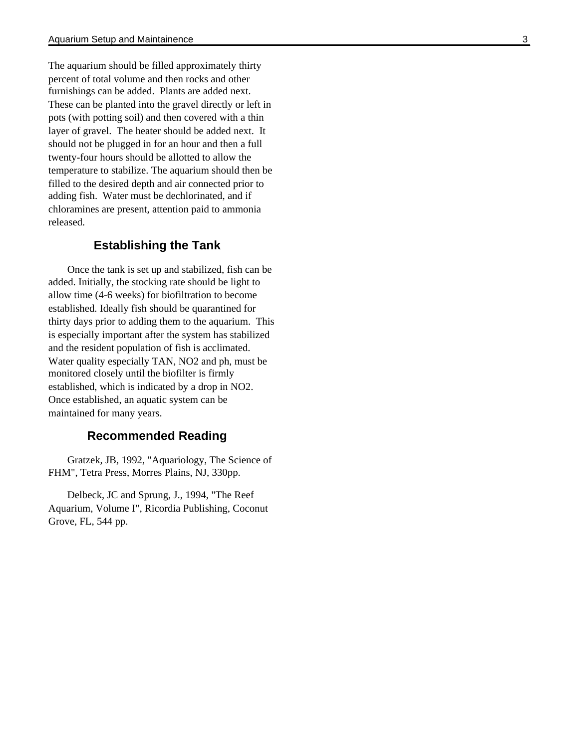The aquarium should be filled approximately thirty percent of total volume and then rocks and other furnishings can be added. Plants are added next. These can be planted into the gravel directly or left in pots (with potting soil) and then covered with a thin layer of gravel. The heater should be added next. It should not be plugged in for an hour and then a full twenty-four hours should be allotted to allow the temperature to stabilize. The aquarium should then be filled to the desired depth and air connected prior to adding fish. Water must be dechlorinated, and if chloramines are present, attention paid to ammonia released.

# **Establishing the Tank**

Once the tank is set up and stabilized, fish can be added. Initially, the stocking rate should be light to allow time (4-6 weeks) for biofiltration to become established. Ideally fish should be quarantined for thirty days prior to adding them to the aquarium. This is especially important after the system has stabilized and the resident population of fish is acclimated. Water quality especially TAN, NO2 and ph, must be monitored closely until the biofilter is firmly established, which is indicated by a drop in NO2. Once established, an aquatic system can be maintained for many years.

# **Recommended Reading**

Gratzek, JB, 1992, "Aquariology, The Science of FHM", Tetra Press, Morres Plains, NJ, 330pp.

Delbeck, JC and Sprung, J., 1994, "The Reef Aquarium, Volume I", Ricordia Publishing, Coconut Grove, FL, 544 pp.